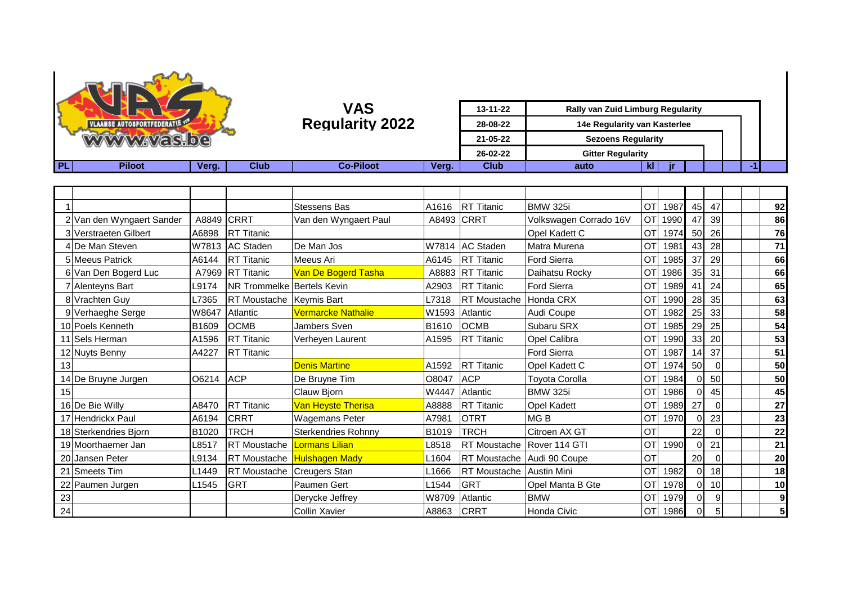

| <b>UNAAMSE AUTOSPORTFEDERATIES</b><br><b>WWWWAYAS.be</b> |               |       | VAS<br><b>Regularity 2022</b> |                  | 13-11-22<br>28-08-22<br>21-05-22<br>26-02-22 | <b>Rally van Zuid Limburg Regularity</b><br>14e Regularity van Kasterlee<br><b>Sezoens Regularity</b><br><b>Gitter Regularity</b> |      |    |  |  |  |  |  |  |
|----------------------------------------------------------|---------------|-------|-------------------------------|------------------|----------------------------------------------|-----------------------------------------------------------------------------------------------------------------------------------|------|----|--|--|--|--|--|--|
|                                                          |               |       |                               |                  |                                              |                                                                                                                                   |      |    |  |  |  |  |  |  |
| PL.                                                      | <b>Piloot</b> | Verg. | <b>Club</b>                   | <b>Co-Piloot</b> | Verg.                                        | <b>Club</b>                                                                                                                       | auto | n. |  |  |  |  |  |  |

|    |                           |       |                            | <b>Stessens Bas</b>        | A1616             | <b>RT Titanic</b>               | <b>BMW 325i</b>        | OT        | 1987 | 45       | 47          |  | 92 |
|----|---------------------------|-------|----------------------------|----------------------------|-------------------|---------------------------------|------------------------|-----------|------|----------|-------------|--|----|
|    | 2 Van den Wyngaert Sander | A8849 | <b>CRRT</b>                | Van den Wyngaert Paul      | A8493             | CRRT                            | Volkswagen Corrado 16V | <b>OT</b> | 1990 | 47       | 39          |  | 86 |
|    | 3 Verstraeten Gilbert     | A6898 | <b>RT Titanic</b>          |                            |                   |                                 | Opel Kadett C          | OT        | 1974 | 50       | 26          |  | 76 |
|    | 4 De Man Steven           |       | W7813 AC Staden            | De Man Jos                 | W7814             | <b>AC Staden</b>                | Matra Murena           | OT        | 1981 | 43       | 28          |  | 71 |
|    | 5 Meeus Patrick           | A6144 | <b>RT Titanic</b>          | Meeus Ari                  | A6145             | <b>RT Titanic</b>               | <b>Ford Sierra</b>     | OT        | 1985 | 37       | 29          |  | 66 |
|    | 6 Van Den Bogerd Luc      | A7969 | <b>RT Titanic</b>          | Van De Bogerd Tasha        |                   | A8883 RT Titanic                | Daihatsu Rocky         | <b>OT</b> | 1986 | 35       | 31          |  | 66 |
|    | 7 Alenteyns Bart          | L9174 | NR Trommelke Bertels Kevin |                            | A2903             | <b>RT Titanic</b>               | <b>Ford Sierra</b>     | <b>OT</b> | 1989 | 41       | 24          |  | 65 |
|    | 8 Vrachten Guy            | L7365 | <b>RT</b> Moustache        | <b>Keymis Bart</b>         | L7318             | <b>RT</b> Moustache             | Honda CRX              | <b>OT</b> | 1990 | 28       | 35          |  | 63 |
|    | 9 Verhaeghe Serge         | W8647 | Atlantic                   | Vermarcke Nathalie         | W1593             | Atlantic                        | Audi Coupe             | <b>OT</b> | 1982 | 25       | 33          |  | 58 |
|    | 10 Poels Kenneth          | B1609 | <b>OCMB</b>                | Jambers Sven               | B1610             | <b>OCMB</b>                     | Subaru SRX             | OT        | 1985 | 29       | 25          |  | 54 |
|    | 11 Sels Herman            | A1596 | <b>RT</b> Titanic          | Verheyen Laurent           | A1595             | <b>RT Titanic</b>               | Opel Calibra           | <b>OT</b> | 1990 | 33       | 20          |  | 53 |
|    | 12 Nuyts Benny            | A4227 | <b>RT</b> Titanic          |                            |                   |                                 | <b>Ford Sierra</b>     | OT        | 1987 | 14       | 37          |  | 51 |
| 13 |                           |       |                            | <b>Denis Martine</b>       | A1592             | <b>RT</b> Titanic               | Opel Kadett C          | OT        | 1974 | 50       | $\mathbf 0$ |  | 50 |
|    | 14 De Bruyne Jurgen       | O6214 | <b>ACP</b>                 | De Bruyne Tim              | O8047             | <b>ACP</b>                      | <b>Toyota Corolla</b>  | <b>OT</b> | 1984 | $\Omega$ | 50          |  | 50 |
| 15 |                           |       |                            | Clauw Bjorn                | W4447             | Atlantic                        | <b>BMW 325i</b>        | <b>OT</b> | 1986 | $\Omega$ | 45          |  | 45 |
|    | 16 De Bie Willy           | A8470 | <b>RT Titanic</b>          | Van Heyste Therisa         | A8888             | <b>RT Titanic</b>               | <b>Opel Kadett</b>     | OT        | 1989 | 27       | $\Omega$    |  | 27 |
|    | 17 Hendrickx Paul         | A6194 | <b>CRRT</b>                | <b>Wagemans Peter</b>      | A7981             | <b>OTRT</b>                     | MG <sub>B</sub>        | <b>OT</b> | 1970 |          | 23          |  | 23 |
|    | 18 Sterkendries Bjorn     | B1020 | TRCH                       | <b>Sterkendries Rohnny</b> | B1019             | TRCH                            | Citroen AX GT          | OT        |      | 22       | $\Omega$    |  | 22 |
|    | 19 Moorthaemer Jan        | L8517 | <b>RT</b> Moustache        | Lormans Lilian             | L8518             | RT Moustache Rover 114 GTI      |                        | OT        | 1990 | $\Omega$ | 21          |  | 21 |
|    | 20 Jansen Peter           | L9134 | RT Moustache               | <b>Hulshagen Mady</b>      | L1604             | RT Moustache Audi 90 Coupe      |                        | <b>OT</b> |      | 20       | $\Omega$    |  | 20 |
|    | 21 Smeets Tim             | L1449 | <b>RT</b> Moustache        | Creugers Stan              | L1666             | <b>RT Moustache Austin Mini</b> |                        | <b>OT</b> | 1982 | $\Omega$ | 18          |  | 18 |
|    | 22 Paumen Jurgen          | L1545 | <b>GRT</b>                 | Paumen Gert                | L <sub>1544</sub> | <b>GRT</b>                      | Opel Manta B Gte       | <b>OT</b> | 1978 | $\Omega$ | 10          |  | 10 |
| 23 |                           |       |                            | Dervcke Jeffrev            | W8709             | Atlantic                        | <b>BMW</b>             | <b>OT</b> | 1979 | $\Omega$ | 9           |  | 9  |
| 24 |                           |       |                            | <b>Collin Xavier</b>       | A8863             | <b>CRRT</b>                     | Honda Civic            | OT        | 1986 | $\Omega$ | 5           |  | 5  |